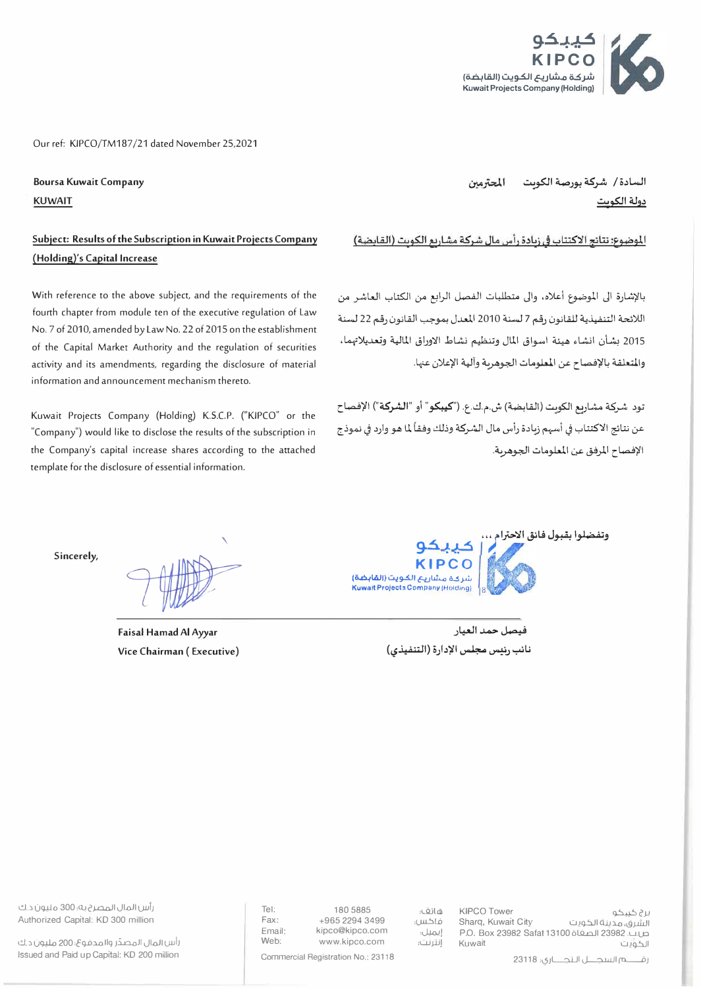

Our ref: KIPCO/TM187/21 dated November 25,2021

**Boursa Kuwait Company KUWAIT** 

## **Subject: Results of the Subscription in Kuwait Projects Company (Holding}'s Capital Increase**

With reference to the above subject, and the requirements of the fourth chapter from module ten of the executive regulation of Law No. 7 of 2010, amended by Law No. 22 of 2015 on the establishment of the Capital Market Authority and the regulation of securities activity and its amendments, regarding the disclosure of material information and announcement mechanism thereto.

Kuwait Projects Company (Holding) K.S.C.P. ("KIPCO" or the "Company") would like to disclose the results of the subscription in the Company's capital increase shares according to the attached template for the disclosure of essential information.

السادة/ شركة بورصة الكوبت المحترمين دولة الكو<u>يت</u>

الموضوع: نتائج الاكتتاب في زيادة رأس مال شركة مشاريع الكويت (القابضة)

بالإشارة الى الموضوع أعلاه، والى متطلبات الفصل الرابع من الكتاب العاشر من اللائحة التنفيذية للقانون رقم 7 لسنة 2010 المعدل بموجب القانون رقم 22 لسنة 2015 بشأن انشاء هيئة اسواق المال وتنظيم نشاط الاوراق المالية وتعديلاتهما، والمتعلقة بالإفصاح عن المعلومات الجوهرية وألية الإعلان عنها.

تود شركة مشاريع الكويت (الفابضة) ش.م.ك.ع. ("**كيبكو**" أو "<mark>الشركة</mark>") الإفصاح عن نتائج الاكتتاب في أسهم زبادة رأس مال الشركة وذلك وفقاً لما هو وارد في نموذج الإفصاح المرفق عن المعلومات الجوهرية.

**Sincerely,** 

**Faisal Hamad Al** *Ayyar*  **Vice Chairman ( Executive)** 



.<br>فيصل حمد العيار **('-?-4,i.l:iJI} o)..l';il �** *�.J* **-,.uu** 

رأس المال المصر 2 به؛ 300 مليون د.ك Authorized Capital: KO 300 million

رأس المال المصدر والمدفوع، 200 مليون د.ك Issued and Paid up Capital: KO 200 million

هاتف. 180 5885<br>Fax: 1965 2294 3499 , براكس Fax: +965 2294 3499<br>Email: kipco@kipco.com Email: kipco@kipco.com<br>Web: www.kipco.com Web: www.kipco.com

فاكس: .<br>إيم<u>يل</u>. إنترنت:

برغ حُييحُو<br>Sharg, Kuwait City هجرينة الكورت الشرق، مدينة الكويت صاب 23982 الصفاة 23080 Safat 13100 .<br>الحوات الكويت